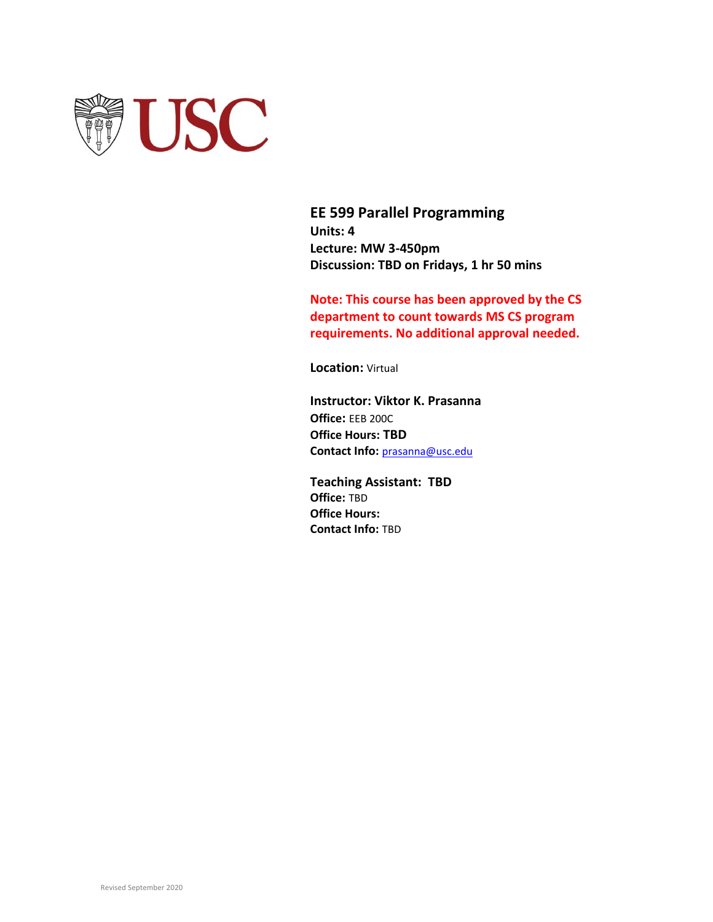

**EE 599 Parallel Programming Units: 4 Lecture: MW 3-450pm Discussion: TBD on Fridays, 1 hr 50 mins**

**Note: This course has been approved by the CS department to count towards MS CS program requirements. No additional approval needed.**

**Location:** Virtual

**Instructor: Viktor K. Prasanna Office:** EEB 200C **Office Hours: TBD Contact Info:** [prasanna@usc.edu](mailto:prasanna@usc.edu)

**Teaching Assistant: TBD Office:** TBD **Office Hours: Contact Info:** TBD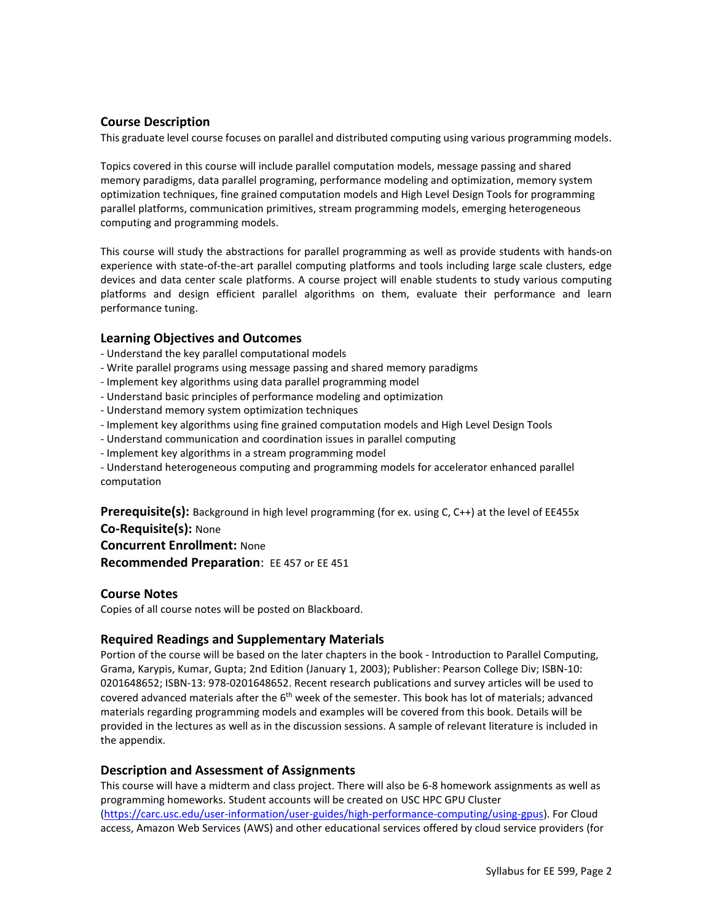# **Course Description**

This graduate level course focuses on parallel and distributed computing using various programming models.

Topics covered in this course will include parallel computation models, message passing and shared memory paradigms, data parallel programing, performance modeling and optimization, memory system optimization techniques, fine grained computation models and High Level Design Tools for programming parallel platforms, communication primitives, stream programming models, emerging heterogeneous computing and programming models.

This course will study the abstractions for parallel programming as well as provide students with hands-on experience with state-of-the-art parallel computing platforms and tools including large scale clusters, edge devices and data center scale platforms. A course project will enable students to study various computing platforms and design efficient parallel algorithms on them, evaluate their performance and learn performance tuning.

### **Learning Objectives and Outcomes**

- Understand the key parallel computational models
- Write parallel programs using message passing and shared memory paradigms
- Implement key algorithms using data parallel programming model
- Understand basic principles of performance modeling and optimization
- Understand memory system optimization techniques
- Implement key algorithms using fine grained computation models and High Level Design Tools
- Understand communication and coordination issues in parallel computing
- Implement key algorithms in a stream programming model
- Understand heterogeneous computing and programming models for accelerator enhanced parallel computation

Prerequisite(s): Background in high level programming (for ex. using C, C++) at the level of EE455x **Co-Requisite(s):** None

**Concurrent Enrollment:** None

**Recommended Preparation**: EE 457 or EE 451

### **Course Notes**

Copies of all course notes will be posted on Blackboard.

# **Required Readings and Supplementary Materials**

Portion of the course will be based on the later chapters in the book - Introduction to Parallel Computing, Grama, Karypis, Kumar, Gupta; 2nd Edition (January 1, 2003); Publisher: Pearson College Div; ISBN-10: 0201648652; ISBN-13: 978-0201648652. Recent research publications and survey articles will be used to covered advanced materials after the 6<sup>th</sup> week of the semester. This book has lot of materials; advanced materials regarding programming models and examples will be covered from this book. Details will be provided in the lectures as well as in the discussion sessions. A sample of relevant literature is included in the appendix.

### **Description and Assessment of Assignments**

This course will have a midterm and class project. There will also be 6-8 homework assignments as well as programming homeworks. Student accounts will be created on USC HPC GPU Cluster [\(https://carc.usc.edu/user-information/user-guides/high-performance-computing/using-gpus\)](https://carc.usc.edu/user-information/user-guides/high-performance-computing/using-gpus). For Cloud access, Amazon Web Services (AWS) and other educational services offered by cloud service providers (for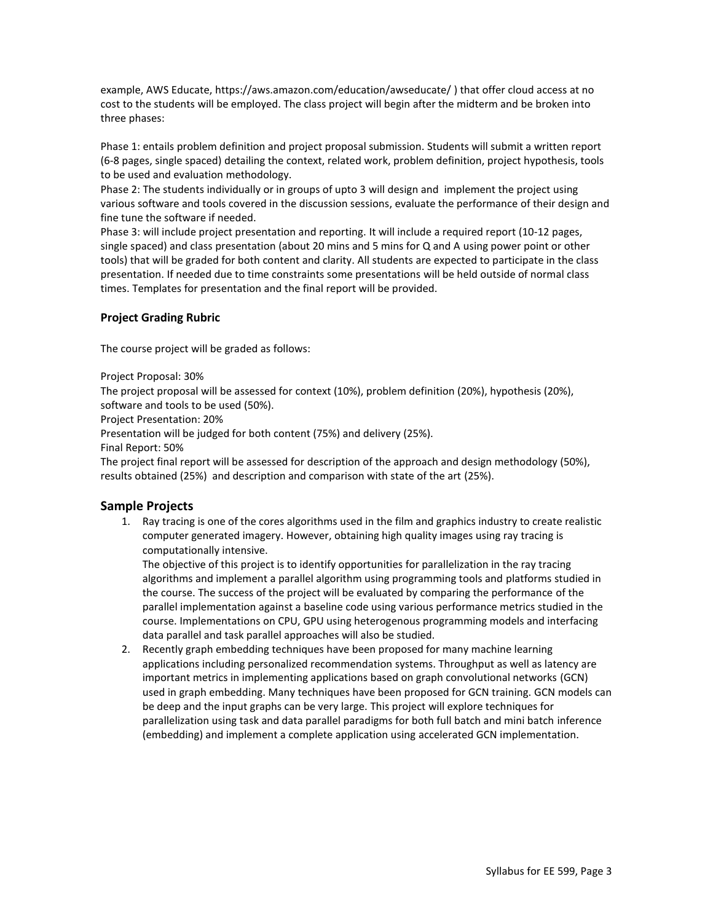example, AWS Educate, https://aws.amazon.com/education/awseducate/ ) that offer cloud access at no cost to the students will be employed. The class project will begin after the midterm and be broken into three phases:

Phase 1: entails problem definition and project proposal submission. Students will submit a written report (6-8 pages, single spaced) detailing the context, related work, problem definition, project hypothesis, tools to be used and evaluation methodology.

Phase 2: The students individually or in groups of upto 3 will design and implement the project using various software and tools covered in the discussion sessions, evaluate the performance of their design and fine tune the software if needed.

Phase 3: will include project presentation and reporting. It will include a required report (10-12 pages, single spaced) and class presentation (about 20 mins and 5 mins for Q and A using power point or other tools) that will be graded for both content and clarity. All students are expected to participate in the class presentation. If needed due to time constraints some presentations will be held outside of normal class times. Templates for presentation and the final report will be provided.

# **Project Grading Rubric**

The course project will be graded as follows:

Project Proposal: 30%

The project proposal will be assessed for context (10%), problem definition (20%), hypothesis (20%), software and tools to be used (50%).

Project Presentation: 20%

Presentation will be judged for both content (75%) and delivery (25%).

Final Report: 50%

The project final report will be assessed for description of the approach and design methodology (50%), results obtained (25%) and description and comparison with state of the art (25%).

# **Sample Projects**

1. Ray tracing is one of the cores algorithms used in the film and graphics industry to create realistic computer generated imagery. However, obtaining high quality images using ray tracing is computationally intensive.

The objective of this project is to identify opportunities for parallelization in the ray tracing algorithms and implement a parallel algorithm using programming tools and platforms studied in the course. The success of the project will be evaluated by comparing the performance of the parallel implementation against a baseline code using various performance metrics studied in the course. Implementations on CPU, GPU using heterogenous programming models and interfacing data parallel and task parallel approaches will also be studied.

2. Recently graph embedding techniques have been proposed for many machine learning applications including personalized recommendation systems. Throughput as well as latency are important metrics in implementing applications based on graph convolutional networks (GCN) used in graph embedding. Many techniques have been proposed for GCN training. GCN models can be deep and the input graphs can be very large. This project will explore techniques for parallelization using task and data parallel paradigms for both full batch and mini batch inference (embedding) and implement a complete application using accelerated GCN implementation.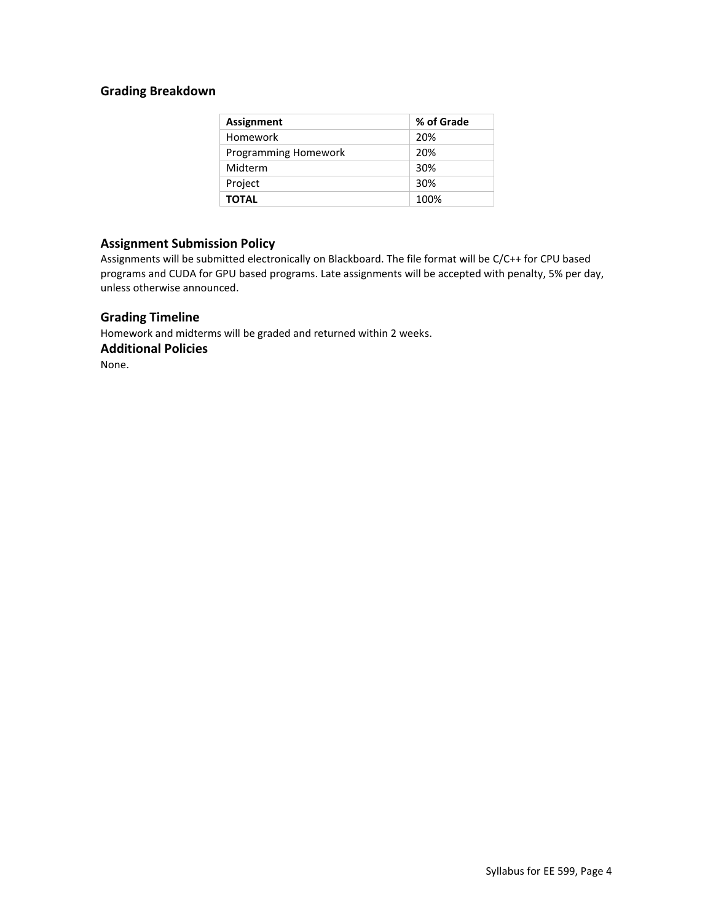# **Grading Breakdown**

| <b>Assignment</b>    | % of Grade |
|----------------------|------------|
| Homework             | 20%        |
| Programming Homework | 20%        |
| Midterm              | 30%        |
| Project              | 30%        |
| <b>TOTAL</b>         | 100%       |

## **Assignment Submission Policy**

Assignments will be submitted electronically on Blackboard. The file format will be C/C++ for CPU based programs and CUDA for GPU based programs. Late assignments will be accepted with penalty, 5% per day, unless otherwise announced.

### **Grading Timeline**

Homework and midterms will be graded and returned within 2 weeks. **Additional Policies**

None.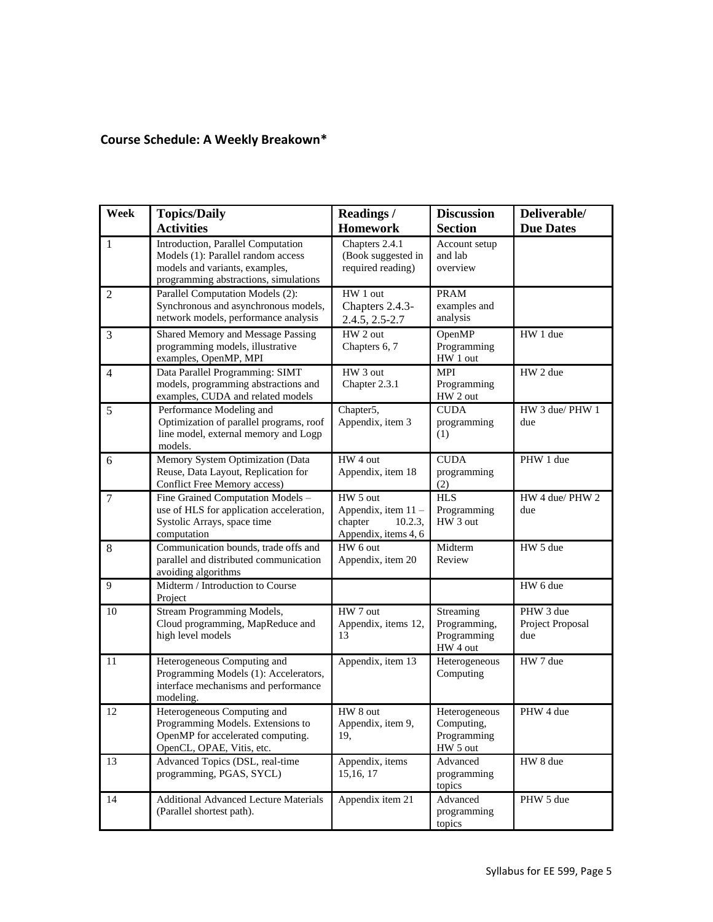# **Course Schedule: A Weekly Breakown\***

| Week           | <b>Topics/Daily</b><br><b>Activities</b>                                                                                                            | <b>Readings /</b><br><b>Homework</b>                                                     | <b>Discussion</b><br><b>Section</b>                    | Deliverable/<br><b>Due Dates</b>     |
|----------------|-----------------------------------------------------------------------------------------------------------------------------------------------------|------------------------------------------------------------------------------------------|--------------------------------------------------------|--------------------------------------|
| 1              | Introduction, Parallel Computation<br>Models (1): Parallel random access<br>models and variants, examples,<br>programming abstractions, simulations | Chapters 2.4.1<br>(Book suggested in<br>required reading)                                | Account setup<br>and lab<br>overview                   |                                      |
| $\overline{2}$ | Parallel Computation Models (2):<br>Synchronous and asynchronous models,<br>network models, performance analysis                                    | HW 1 out<br>Chapters 2.4.3-<br>2.4.5, 2.5-2.7                                            | <b>PRAM</b><br>examples and<br>analysis                |                                      |
| 3              | Shared Memory and Message Passing<br>programming models, illustrative<br>examples, OpenMP, MPI                                                      | HW 2 out<br>Chapters 6, 7                                                                | OpenMP<br>Programming<br>HW 1 out                      | HW 1 due                             |
| $\overline{4}$ | Data Parallel Programming: SIMT<br>models, programming abstractions and<br>examples, CUDA and related models                                        | HW 3 out<br>Chapter 2.3.1                                                                | <b>MPI</b><br>Programming<br>HW 2 out                  | HW 2 due                             |
| 5              | Performance Modeling and<br>Optimization of parallel programs, roof<br>line model, external memory and Logp<br>models.                              | Chapter5,<br>Appendix, item 3                                                            | <b>CUDA</b><br>programming<br>(1)                      | HW 3 due/ PHW 1<br>due               |
| 6              | Memory System Optimization (Data<br>Reuse, Data Layout, Replication for<br>Conflict Free Memory access)                                             | HW 4 out<br>Appendix, item 18                                                            | <b>CUDA</b><br>programming<br>(2)                      | PHW 1 due                            |
| $\tau$         | Fine Grained Computation Models -<br>use of HLS for application acceleration,<br>Systolic Arrays, space time<br>computation                         | HW <sub>5</sub> out<br>Appendix, item 11 -<br>chapter<br>10.2.3.<br>Appendix, items 4, 6 | <b>HLS</b><br>Programming<br>HW 3 out                  | HW 4 due/ PHW 2<br>due               |
| 8              | Communication bounds, trade offs and<br>parallel and distributed communication<br>avoiding algorithms                                               | HW 6 out<br>Appendix, item 20                                                            | Midterm<br>Review                                      | HW 5 due                             |
| 9              | Midterm / Introduction to Course<br>Project                                                                                                         |                                                                                          |                                                        | HW 6 due                             |
| 10             | Stream Programming Models,<br>Cloud programming, MapReduce and<br>high level models                                                                 | HW 7 out<br>Appendix, items 12,<br>13                                                    | Streaming<br>Programming,<br>Programming<br>HW 4 out   | PHW 3 due<br>Project Proposal<br>due |
| 11             | Heterogeneous Computing and<br>Programming Models (1): Accelerators,<br>interface mechanisms and performance<br>modeling.                           | Appendix, item 13                                                                        | Heterogeneous<br>Computing                             | HW 7 due                             |
| 12             | Heterogeneous Computing and<br>Programming Models. Extensions to<br>OpenMP for accelerated computing.<br>OpenCL, OPAE, Vitis, etc.                  | HW 8 out<br>Appendix, item 9,<br>19,                                                     | Heterogeneous<br>Computing,<br>Programming<br>HW 5 out | PHW 4 due                            |
| 13             | Advanced Topics (DSL, real-time<br>programming, PGAS, SYCL)                                                                                         | Appendix, items<br>15, 16, 17                                                            | Advanced<br>programming<br>topics                      | HW 8 due                             |
| 14             | <b>Additional Advanced Lecture Materials</b><br>(Parallel shortest path).                                                                           | Appendix item 21                                                                         | Advanced<br>programming<br>topics                      | PHW 5 due                            |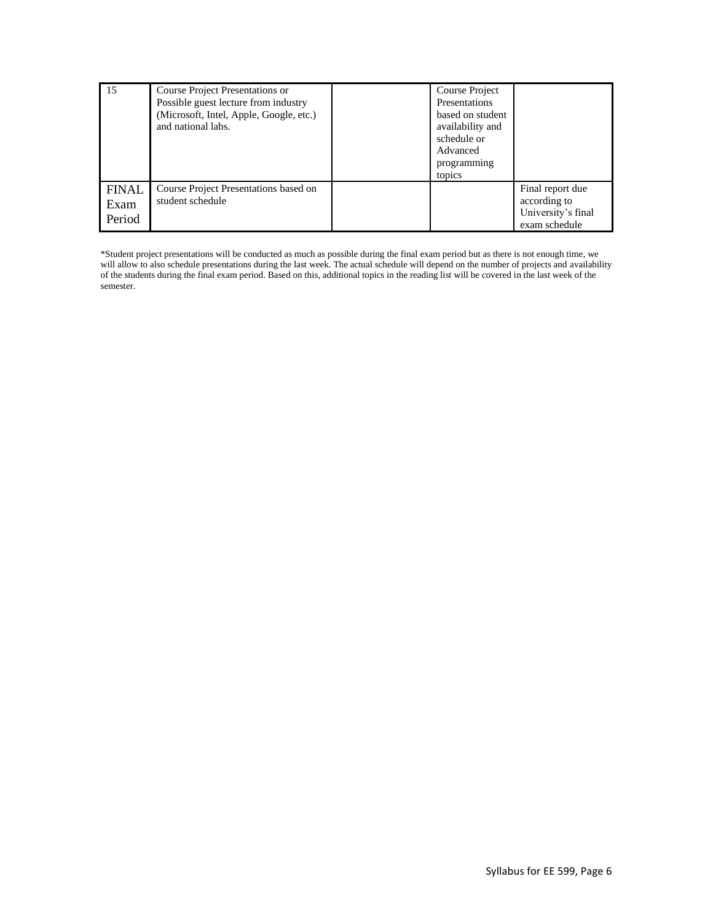| 15                             | Course Project Presentations or<br>Possible guest lecture from industry<br>(Microsoft, Intel, Apple, Google, etc.)<br>and national labs. | Course Project<br>Presentations<br>based on student<br>availability and<br>schedule or<br>Advanced<br>programming<br>topics |                                                                         |
|--------------------------------|------------------------------------------------------------------------------------------------------------------------------------------|-----------------------------------------------------------------------------------------------------------------------------|-------------------------------------------------------------------------|
| <b>FINAL</b><br>Exam<br>Period | Course Project Presentations based on<br>student schedule                                                                                |                                                                                                                             | Final report due<br>according to<br>University's final<br>exam schedule |

\*Student project presentations will be conducted as much as possible during the final exam period but as there is not enough time, we will allow to also schedule presentations during the last week. The actual schedule will depend on the number of projects and availability of the students during the final exam period. Based on this, additional topics in the reading list will be covered in the last week of the semester.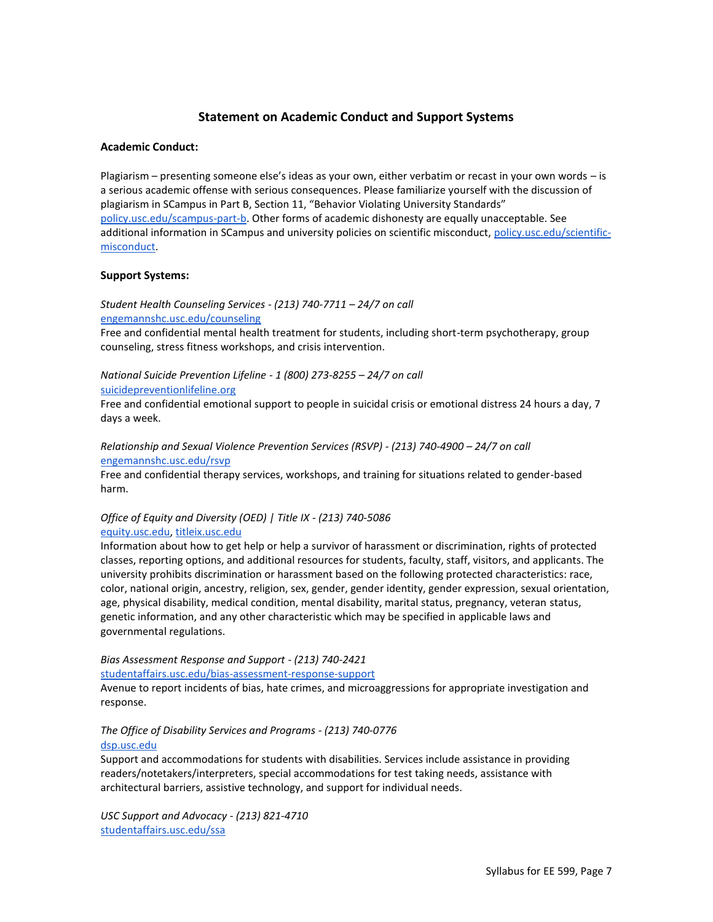## **Statement on Academic Conduct and Support Systems**

### **Academic Conduct:**

Plagiarism – presenting someone else's ideas as your own, either verbatim or recast in your own words – is a serious academic offense with serious consequences. Please familiarize yourself with the discussion of plagiarism in SCampus in Part B, Section 11, "Behavior Violating University Standards" [policy.usc.edu/scampus-part-b.](https://policy.usc.edu/scampus-part-b/) Other forms of academic dishonesty are equally unacceptable. See additional information in SCampus and university policies on scientific misconduct, [policy.usc.edu/scientific](http://policy.usc.edu/scientific-misconduct)[misconduct.](http://policy.usc.edu/scientific-misconduct)

### **Support Systems:**

*Student Health Counseling Services - (213) 740-7711 – 24/7 on call* [engemannshc.usc.edu/counseling](https://engemannshc.usc.edu/counseling/)

Free and confidential mental health treatment for students, including short-term psychotherapy, group counseling, stress fitness workshops, and crisis intervention.

*National Suicide Prevention Lifeline - 1 (800) 273-8255 – 24/7 on call*

#### [suicidepreventionlifeline.org](http://www.suicidepreventionlifeline.org/)

Free and confidential emotional support to people in suicidal crisis or emotional distress 24 hours a day, 7 days a week.

*Relationship and Sexual Violence Prevention Services (RSVP) - (213) 740-4900 – 24/7 on call* [engemannshc.usc.edu/rsvp](https://engemannshc.usc.edu/rsvp/)

Free and confidential therapy services, workshops, and training for situations related to gender-based harm[.](https://engemannshc.usc.edu/rsvp/)

### *Office of Equity and Diversity (OED) | Title IX - (213) 740-5086* [equity.usc.edu,](https://equity.usc.edu/) [titleix.usc.edu](http://titleix.usc.edu/)

Information about how to get help or help a survivor of harassment or discrimination, rights of protected classes, reporting options, and additional resources for students, faculty, staff, visitors, and applicants. The university prohibits discrimination or harassment based on the following protected characteristics: race, color, national origin, ancestry, religion, sex, gender, gender identity, gender expression, sexual orientation, age, physical disability, medical condition, mental disability, marital status, pregnancy, veteran status, genetic information, and any other characteristic which may be specified in applicable laws and governmental regulation[s.](http://sarc.usc.edu/)

*Bias Assessment Response and Support - (213) 740-2421*

[studentaffairs.usc.edu/bias-assessment-response-support](https://studentaffairs.usc.edu/bias-assessment-response-support/)

Avenue to report incidents of bias, hate crimes, and microaggressions for appropriate investigation and response[.](https://studentaffairs.usc.edu/bias-assessment-response-support/)

# *The Office of Disability Services and Programs - (213) 740-0776*

### [dsp.usc.edu](http://dsp.usc.edu/)

Support and accommodations for students with disabilities. Services include assistance in providing readers/notetakers/interpreters, special accommodations for test taking needs, assistance with architectural barriers, assistive technology, and support for individual needs[.](http://dsp.usc.edu/)

*USC Support and Advocacy - (213) 821-4710* [studentaffairs.usc.edu/ssa](https://studentaffairs.usc.edu/ssa/)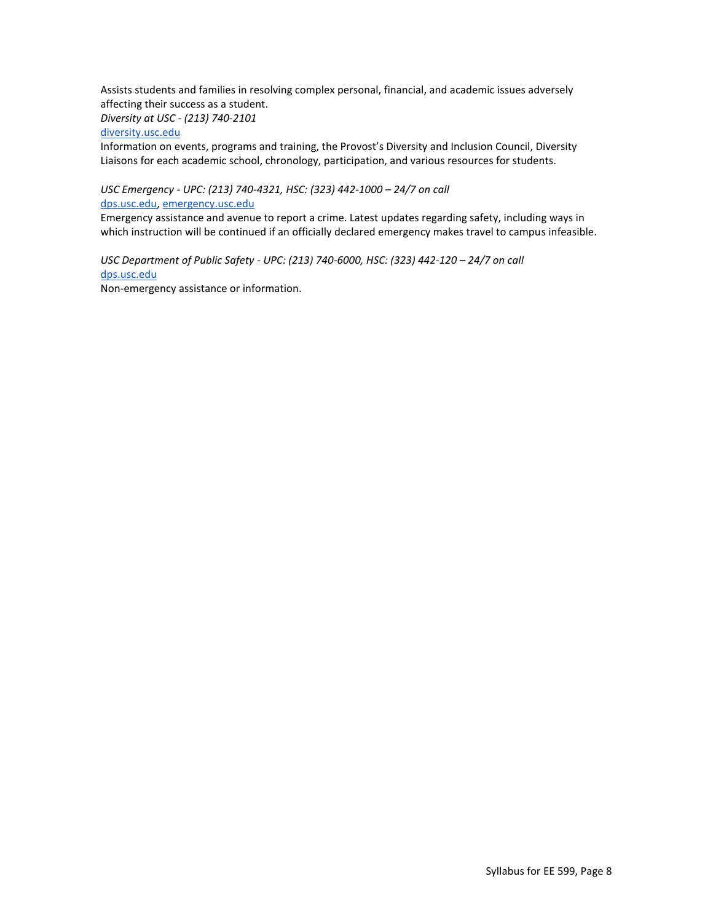Assists students and families in resolving complex personal, financial, and academic issues adversely affecting their success as a student.

*Diversity at USC - (213) 740-2101*

[diversity.usc.edu](https://diversity.usc.edu/)

Information on events, programs and training, the Provost's Diversity and Inclusion Council, Diversity Liaisons for each academic school, chronology, participation, and various resources for students.

*USC Emergency - UPC: (213) 740-4321, HSC: (323) 442-1000 – 24/7 on call*  [dps.usc.edu,](http://dps.usc.edu/) [emergency.usc.edu](http://emergency.usc.edu/)

Emergency assistance and avenue to report a crime. Latest updates regarding safety, including ways in which instruction will be continued if an officially declared emergency makes travel to campus infeasible.

*USC Department of Public Safety - UPC: (213) 740-6000, HSC: (323) 442-120 – 24/7 on call*  [dps.usc.edu](http://dps.usc.edu/) Non-emergency assistance or information.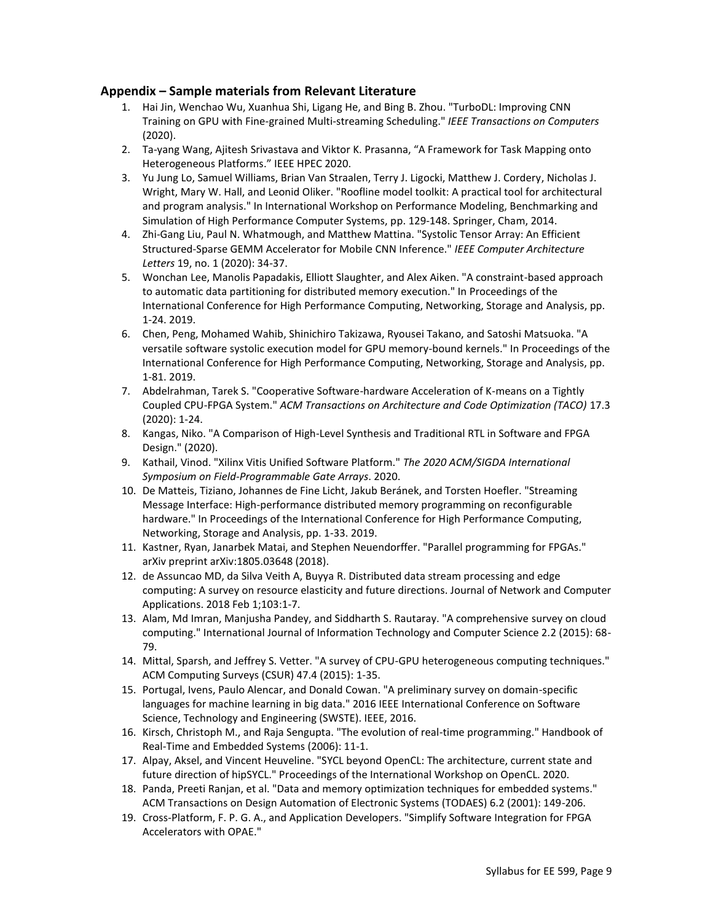# **Appendix – Sample materials from Relevant Literature**

- 1. Hai Jin, Wenchao Wu, Xuanhua Shi, Ligang He, and Bing B. Zhou. "TurboDL: Improving CNN Training on GPU with Fine-grained Multi-streaming Scheduling." *IEEE Transactions on Computers* (2020).
- 2. Ta-yang Wang, Ajitesh Srivastava and Viktor K. Prasanna, "A Framework for Task Mapping onto Heterogeneous Platforms." IEEE HPEC 2020.
- 3. Yu Jung Lo, Samuel Williams, Brian Van Straalen, Terry J. Ligocki, Matthew J. Cordery, Nicholas J. Wright, Mary W. Hall, and Leonid Oliker. "Roofline model toolkit: A practical tool for architectural and program analysis." In International Workshop on Performance Modeling, Benchmarking and Simulation of High Performance Computer Systems, pp. 129-148. Springer, Cham, 2014.
- 4. Zhi-Gang Liu, Paul N. Whatmough, and Matthew Mattina. "Systolic Tensor Array: An Efficient Structured-Sparse GEMM Accelerator for Mobile CNN Inference." *IEEE Computer Architecture Letters* 19, no. 1 (2020): 34-37.
- 5. Wonchan Lee, Manolis Papadakis, Elliott Slaughter, and Alex Aiken. "A constraint-based approach to automatic data partitioning for distributed memory execution." In Proceedings of the International Conference for High Performance Computing, Networking, Storage and Analysis, pp. 1-24. 2019.
- 6. Chen, Peng, Mohamed Wahib, Shinichiro Takizawa, Ryousei Takano, and Satoshi Matsuoka. "A versatile software systolic execution model for GPU memory-bound kernels." In Proceedings of the International Conference for High Performance Computing, Networking, Storage and Analysis, pp. 1-81. 2019.
- 7. Abdelrahman, Tarek S. "Cooperative Software-hardware Acceleration of K-means on a Tightly Coupled CPU-FPGA System." *ACM Transactions on Architecture and Code Optimization (TACO)* 17.3 (2020): 1-24.
- 8. Kangas, Niko. "A Comparison of High-Level Synthesis and Traditional RTL in Software and FPGA Design." (2020).
- 9. Kathail, Vinod. "Xilinx Vitis Unified Software Platform." *The 2020 ACM/SIGDA International Symposium on Field-Programmable Gate Arrays*. 2020.
- 10. De Matteis, Tiziano, Johannes de Fine Licht, Jakub Beránek, and Torsten Hoefler. "Streaming Message Interface: High-performance distributed memory programming on reconfigurable hardware." In Proceedings of the International Conference for High Performance Computing, Networking, Storage and Analysis, pp. 1-33. 2019.
- 11. Kastner, Ryan, Janarbek Matai, and Stephen Neuendorffer. "Parallel programming for FPGAs." arXiv preprint arXiv:1805.03648 (2018).
- 12. de Assuncao MD, da Silva Veith A, Buyya R. Distributed data stream processing and edge computing: A survey on resource elasticity and future directions. Journal of Network and Computer Applications. 2018 Feb 1;103:1-7.
- 13. Alam, Md Imran, Manjusha Pandey, and Siddharth S. Rautaray. "A comprehensive survey on cloud computing." International Journal of Information Technology and Computer Science 2.2 (2015): 68- 79.
- 14. Mittal, Sparsh, and Jeffrey S. Vetter. "A survey of CPU-GPU heterogeneous computing techniques." ACM Computing Surveys (CSUR) 47.4 (2015): 1-35.
- 15. Portugal, Ivens, Paulo Alencar, and Donald Cowan. "A preliminary survey on domain-specific languages for machine learning in big data." 2016 IEEE International Conference on Software Science, Technology and Engineering (SWSTE). IEEE, 2016.
- 16. Kirsch, Christoph M., and Raja Sengupta. "The evolution of real-time programming." Handbook of Real-Time and Embedded Systems (2006): 11-1.
- 17. Alpay, Aksel, and Vincent Heuveline. "SYCL beyond OpenCL: The architecture, current state and future direction of hipSYCL." Proceedings of the International Workshop on OpenCL. 2020.
- 18. Panda, Preeti Ranjan, et al. "Data and memory optimization techniques for embedded systems." ACM Transactions on Design Automation of Electronic Systems (TODAES) 6.2 (2001): 149-206.
- 19. Cross-Platform, F. P. G. A., and Application Developers. "Simplify Software Integration for FPGA Accelerators with OPAE."